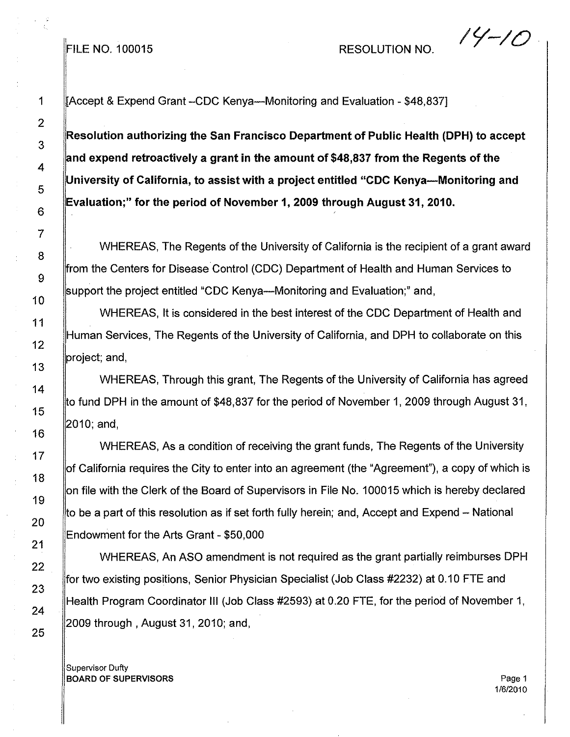FILE NO. 100015 RESOLUTION NO.

1 **Accept & Expend Grant -CDC Kenya-Monitoring and Evaluation - \$48,837]** 

**Resolution authorizing the San Francisco Department of Public Health (DPH) to accept and expend retroactively a grant in the amount of \$48,837 from the Regents of the University of California, to assist with a project entitled** "CDC **Kenya-Monitoring and Evaluation;" for the period of November 1,2009 through August 31,2010.**

WHEREAS, The Regents of the University of California is the recipient of a grant award rom the Centers for Disease Control (CDC) Department of Health and Human Services to support the project entitled "CDC Kenya—Monitoring and Evaluation;" and,

WHEREAS, It is considered in the best interest of the CDC Department of Health and Human Services, The Regents of the University of California, and DPH to collaborate on this project; and,

WHEREAS, Through this grant, The Regents of the University of California has agreed to fund DPH in the amount of \$48,837 for the period of November 1,2009 through August 31, 2010; and,

WHEREAS, As a condition of receiving the grant funds, The Regents of the University of California requires the City to enter into an agreement (the "Agreement"), a copy of which is on file with the Clerk of the Board of Supervisors in File NO.100015 which is hereby declared to be a part of this resolution as if set forth fully herein; and, Accept and Expend – National Endowment for the Arts Grant - \$50,000

WHEREAS, An ASO amendment is not required as the grant partially reimburses DPH for two existing positions, Senior Physician Specialist (Job Class #2232) at 0.10 FTE and Health Program Coordinator III (Job Class #2593) at 0.20 FTE, for the period of November 1, 2009 through, August 31, 2010; and,

Supervisor Duffy BOARD OF SUPERVISORS Page 1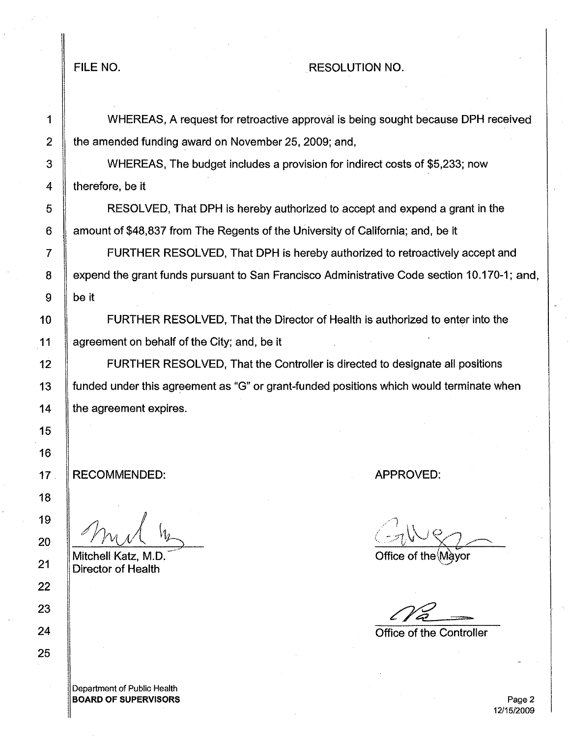## FILE NO. A RESOLUTION NO.

1 WHEREAS, A request for retroactive approval is being sought because DPH received 2  $\parallel$  the amended funding award on November 25, 2009; and,

3 WHEREAS, The budget includes a provision for indirect costs of \$5,233; now 4 **therefore**, be it

5 RESOLVED, That DPH is hereby authorized to accept and expend a grant in the 6  $\parallel$  amount of \$48,837 from The Regents of the University of California; and, be it

7 FURTHER RESOLVED, That DPH is hereby authorized to retroactively accept and 8 | expend the grant funds pursuant to San Francisco Administrative Code section 10.170-1; and,  $9 \parallel$  be it

10 FURTHER RESOLVED, That the Director of Health is authorized to enter into the 11 | agreement on behalf of the City; and, be it

12 **FURTHER RESOLVED, That the Controller is directed to designate all positions** 13 funded under this agreement as "G" or grant-funded positions which would terminate when 14  $\parallel$  the agreement expires.

RECOMMENDED:

Mitchell Katz, M.D. Director of Health

Department of Public Health BOARD OF SUPERVISORS APPROVED:

Office of the Mayor

Office of the Controller

Page 2 12/15/2009